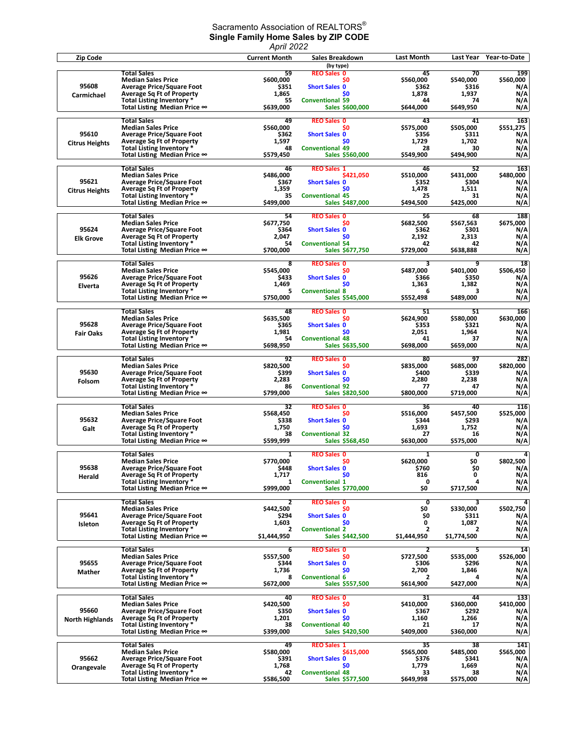## Sacramento Association of REALTORS $^\circ$ **Single Family Home Sales by ZIP CODE**

|                                 |                                                                                                                                                                                             | April 2022                                           |                                                                                                                          |                                                                          |                                                      |                                              |
|---------------------------------|---------------------------------------------------------------------------------------------------------------------------------------------------------------------------------------------|------------------------------------------------------|--------------------------------------------------------------------------------------------------------------------------|--------------------------------------------------------------------------|------------------------------------------------------|----------------------------------------------|
| <b>Zip Code</b>                 |                                                                                                                                                                                             | <b>Current Month</b>                                 | Sales Breakdown                                                                                                          | Last Month                                                               | Last Year                                            | Year-to-Date                                 |
| 95608<br>Carmichael             | <b>Total Sales</b><br><b>Median Sales Price</b><br><b>Average Price/Square Foot</b><br><b>Average Sq Ft of Property</b><br>Total Listing Inventory *<br>Total Listing Median Price ∞        | 59<br>\$600,000<br>\$351<br>1,865<br>55<br>\$639,000 | (by type)<br><b>REO Sales 0</b><br>\$0<br><b>Short Sales 0</b><br><b>SO</b><br><b>Conventional 59</b><br>Sales \$600,000 | 45<br>\$560,000<br>\$362<br>1,878<br>44<br>\$644,000                     | 70<br>\$540,000<br>\$316<br>1,937<br>74<br>\$649,950 | 199<br>\$560,000<br>N/A<br>N/A<br>N/A<br>N/A |
| 95610<br><b>Citrus Heights</b>  | <b>Total Sales</b><br><b>Median Sales Price</b><br><b>Average Price/Square Foot</b><br><b>Average Sq Ft of Property</b><br>Total Listing Inventory *<br>Total Listing Median Price $\infty$ | 49<br>\$560,000<br>\$362<br>1,597<br>48<br>\$579,450 | <b>REO Sales 0</b><br>SO.<br><b>Short Sales 0</b><br>\$0<br><b>Conventional 49</b><br>Sales \$560,000                    | 43<br>\$575,000<br>\$356<br>1,729<br>28<br>\$549,900                     | 41<br>\$505,000<br>\$311<br>1,702<br>30<br>\$494,900 | 163<br>\$551,275<br>N/A<br>N/A<br>N/A<br>N/A |
| 95621<br><b>Citrus Heights</b>  | <b>Total Sales</b><br><b>Median Sales Price</b><br><b>Average Price/Square Foot</b><br><b>Average Sq Ft of Property</b><br>Total Listing Inventory *<br>Total Listing Median Price $\infty$ | 46<br>\$486,000<br>\$367<br>1,359<br>35<br>\$499,000 | <b>REO Sales 1</b><br>\$421,050<br><b>Short Sales 0</b><br><b>SO</b><br><b>Conventional 45</b><br>Sales \$487,000        | 46<br>\$510,000<br>\$352<br>1,478<br>25<br>\$494,500                     | 52<br>\$431,000<br>\$304<br>1,511<br>31<br>\$425,000 | 163<br>\$480,000<br>N/A<br>N/A<br>N/A<br>N/A |
| 95624<br><b>Elk Grove</b>       | <b>Total Sales</b><br><b>Median Sales Price</b><br><b>Average Price/Square Foot</b><br><b>Average Sq Ft of Property</b><br>Total Listing Inventory *<br>Total Listing Median Price $\infty$ | 54<br>\$677,750<br>\$364<br>2,047<br>54<br>\$700,000 | <b>REO Sales 0</b><br>S0<br><b>Short Sales 0</b><br>\$0<br><b>Conventional 54</b><br>Sales \$677,750                     | 56<br>\$682,500<br>\$362<br>2,192<br>42<br>\$729,000                     | 68<br>\$567,563<br>\$301<br>2,313<br>42<br>\$638,888 | 188<br>\$675,000<br>N/A<br>N/A<br>N/A<br>N/A |
| 95626<br>Elverta                | <b>Total Sales</b><br><b>Median Sales Price</b><br><b>Average Price/Square Foot</b><br><b>Average Sq Ft of Property</b><br>Total Listing Inventory *<br>Total Listing Median Price ∞        | 8<br>\$545.000<br>\$433<br>1,469<br>5<br>\$750,000   | <b>REO Sales 0</b><br>\$0<br><b>Short Sales 0</b><br>\$0<br><b>Conventional 8</b><br><b>Sales \$545,000</b>              | 3<br>\$487,000<br>\$366<br>1,363<br>6<br>\$552,498                       | 9<br>\$401,000<br>\$350<br>1,382<br>З<br>\$489,000   | 18<br>\$506,450<br>N/A<br>N/A<br>N/A<br>N/A  |
| 95628<br><b>Fair Oaks</b>       | <b>Total Sales</b><br><b>Median Sales Price</b><br><b>Average Price/Square Foot</b><br><b>Average Sq Ft of Property</b><br>Total Listing Inventory *<br>Total Listing Median Price ∞        | 48<br>\$635,500<br>\$365<br>1,981<br>54<br>\$698,950 | <b>REO Sales 0</b><br>\$0<br><b>Short Sales 0</b><br><b>SO</b><br><b>Conventional 48</b><br>Sales \$635,500              | 51<br>\$624,900<br>\$353<br>2,051<br>41<br>\$698,000                     | 51<br>\$580,000<br>\$321<br>1,964<br>37<br>\$659,000 | 166<br>\$630,000<br>N/A<br>N/A<br>N/A<br>N/A |
| 95630<br>Folsom                 | <b>Total Sales</b><br><b>Median Sales Price</b><br><b>Average Price/Square Foot</b><br><b>Average Sq Ft of Property</b><br>Total Listing Inventory *<br>Total Listing Median Price ∞        | 92<br>\$820,500<br>\$399<br>2,283<br>86<br>\$799,000 | <b>REO Sales 0</b><br>SO.<br><b>Short Sales 0</b><br>\$0<br><b>Conventional 92</b><br>Sales \$820,500                    | 80<br>\$835,000<br>\$400<br>2,280<br>77<br>\$800,000                     | 97<br>\$685,000<br>\$339<br>2,238<br>47<br>\$719,000 | 282<br>\$820,000<br>N/A<br>N/A<br>N/A<br>N/A |
| 95632<br>Galt                   | <b>Total Sales</b><br><b>Median Sales Price</b><br><b>Average Price/Square Foot</b><br><b>Average Sq Ft of Property</b><br>Total Listing Inventory *<br>Total Listing Median Price $\infty$ | 32<br>\$568,450<br>\$338<br>1,750<br>38<br>\$599,999 | <b>REO Sales 0</b><br>\$0<br><b>Short Sales 0</b><br>S <sub>0</sub><br><b>Conventional 32</b><br>Sales \$568,450         | 36<br>\$516,000<br>\$344<br>1,693<br>27<br>\$630,000                     | 40<br>\$457,500<br>\$293<br>1,752<br>16<br>\$575,000 | 116<br>\$525,000<br>N/A<br>N/A<br>N/A<br>N/A |
| 95638<br>Herald                 | <b>Total Sales</b><br><b>Median Sales Price</b><br><b>Average Price/Square Foot</b><br><b>Average Sq Ft of Property</b><br>Total Listing Inventory *<br>Total Listing Median Price ∞        | 1<br>\$770.000<br>\$448<br>1,717<br>1<br>\$999,000   | <b>REO Sales 0</b><br>SO.<br><b>Short Sales 0</b><br>\$0<br><b>Conventional 1</b><br>Sales \$770,000                     | 1<br>\$620,000<br>\$760<br>816<br>0<br>\$0                               | 0<br>\$0<br>\$0<br>0<br>4<br>\$717,500               | 4<br>\$802,500<br>N/A<br>N/A<br>N/A<br>N/A   |
| 95641<br>Isleton                | <b>Total Sales</b><br><b>Median Sales Price</b><br><b>Average Price/Square Foot</b><br><b>Average Sq Ft of Property</b><br>Total Listing Inventory *<br>Total Listing Median Price ∞        | 2<br>\$442,500<br>\$294<br>1,603<br>2<br>\$1,444,950 | <b>REO Sales 0</b><br>\$0<br><b>Short Sales 0</b><br>\$0<br><b>Conventional 2</b><br>Sales \$442,500                     | $\overline{\mathbf{0}}$<br>\$0<br>\$0<br>0<br>2<br>\$1,444,950           | 3<br>\$330,000<br>\$311<br>1,087<br>2<br>\$1,774,500 | 4<br>\$502,750<br>N/A<br>N/A<br>N/A<br>N/A   |
| 95655<br>Mather                 | <b>Total Sales</b><br><b>Median Sales Price</b><br><b>Average Price/Square Foot</b><br><b>Average Sq Ft of Property</b><br>Total Listing Inventory *<br>Total Listing Median Price ∞        | 6<br>\$557,500<br>\$344<br>1,736<br>8<br>\$672,000   | <b>REO Sales 0</b><br>S0<br><b>Short Sales 0</b><br>\$0<br><b>Conventional 6</b><br>Sales \$557,500                      | 2<br>\$727,500<br>\$306<br>2,700<br>$\overline{\mathbf{2}}$<br>\$614,900 | 5<br>\$535,000<br>\$296<br>1,846<br>4<br>\$427,000   | 14<br>\$526,000<br>N/A<br>N/A<br>N/A<br>N/A  |
| 95660<br><b>North Highlands</b> | <b>Total Sales</b><br><b>Median Sales Price</b><br><b>Average Price/Square Foot</b><br><b>Average Sq Ft of Property</b><br>Total Listing Inventory *<br>Total Listing Median Price ∞        | 40<br>\$420,500<br>\$350<br>1,201<br>38<br>\$399,000 | <b>REO Sales 0</b><br>SO.<br><b>Short Sales 0</b><br>\$0<br><b>Conventional 40</b><br>Sales \$420,500                    | 31<br>\$410,000<br>\$367<br>1,160<br>21<br>\$409,000                     | 44<br>\$360,000<br>\$292<br>1,266<br>17<br>\$360,000 | 133<br>\$410,000<br>N/A<br>N/A<br>N/A<br>N/A |
| 95662<br>Orangevale             | <b>Total Sales</b><br><b>Median Sales Price</b><br><b>Average Price/Square Foot</b><br><b>Average Sq Ft of Property</b><br>Total Listing Inventory *<br>Total Listing Median Price ∞        | 49<br>\$580,000<br>\$391<br>1,768<br>42<br>\$586,500 | <b>REO Sales 1</b><br>\$615,000<br><b>Short Sales 0</b><br><b>SO</b><br><b>Conventional 48</b><br>Sales \$577,500        | 35<br>\$565,000<br>\$376<br>1,779<br>33<br>\$649,998                     | 38<br>\$485,000<br>\$341<br>1,669<br>38<br>\$575,000 | 141<br>\$565,000<br>N/A<br>N/A<br>N/A<br>N/A |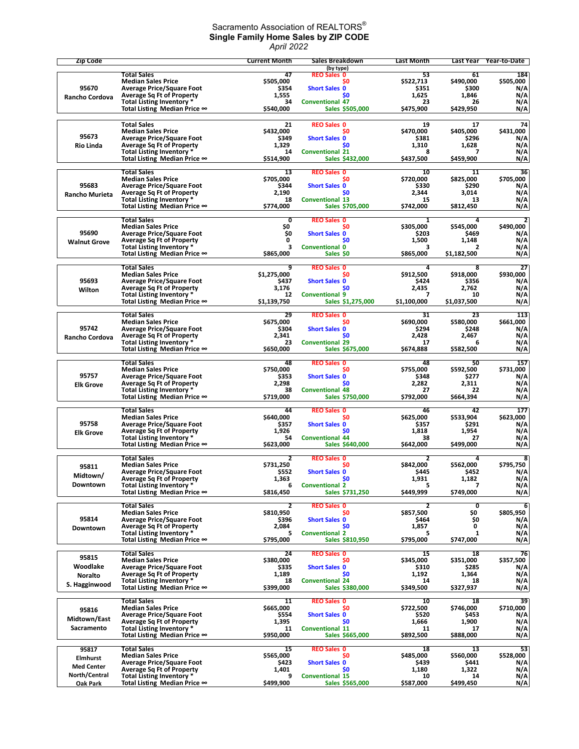## Sacramento Association of REALTORS $^\circ$ **Single Family Home Sales by ZIP CODE** *April 2022*

| <b>Zip Code</b>       |                                                                      | <b>Current Month</b> | Sales Breakdown                            | Last Month         | Last Year          | Year-to-Date     |
|-----------------------|----------------------------------------------------------------------|----------------------|--------------------------------------------|--------------------|--------------------|------------------|
|                       | <b>Total Sales</b>                                                   | 47                   | (by type)<br><b>REO Sales 0</b>            | 53                 | 61                 | 184              |
| 95670                 | <b>Median Sales Price</b><br><b>Average Price/Square Foot</b>        | \$505,000<br>\$354   | SO.<br><b>Short Sales 0</b>                | \$522,713<br>\$351 | \$490,000<br>\$300 | \$505,000        |
| Rancho Cordova        | <b>Average Sq Ft of Property</b>                                     | 1,555                | \$0                                        | 1,625              | 1,846              | N/A<br>N/A       |
|                       | Total Listing Inventory *                                            | 34                   | <b>Conventional 47</b>                     | 23                 | 26                 | N/A              |
|                       | Total Listing Median Price ∞                                         | \$540,000            | Sales \$505,000                            | \$475,900          | \$429,950          | N/A              |
|                       | <b>Total Sales</b>                                                   | 21                   | <b>REO Sales 0</b>                         | 19                 | 17                 | 74               |
| 95673                 | <b>Median Sales Price</b><br><b>Average Price/Square Foot</b>        | \$432,000<br>\$349   | \$0<br><b>Short Sales 0</b>                | \$470,000<br>\$381 | \$405,000<br>\$296 | \$431,000<br>N/A |
| <b>Rio Linda</b>      | <b>Average Sq Ft of Property</b>                                     | 1,329                | S <sub>0</sub>                             | 1,310              | 1,628              | N/A              |
|                       | <b>Total Listing Inventory *</b><br>Total Listing Median Price ∞     | 14<br>\$514,900      | <b>Conventional 21</b><br>Sales \$432,000  | 8<br>\$437,500     | 7<br>\$459,900     | N/A<br>N/A       |
|                       |                                                                      |                      |                                            |                    |                    |                  |
|                       | <b>Total Sales</b><br><b>Median Sales Price</b>                      | 13<br>S705.000       | <b>REO Sales 0</b><br>S <sub>0</sub>       | 10<br>\$720,000    | 11<br>\$825,000    | 36<br>\$705,000  |
| 95683                 | <b>Average Price/Square Foot</b>                                     | \$344                | <b>Short Sales 0</b>                       | \$330              | \$290              | N/A              |
| <b>Rancho Murieta</b> | <b>Average Sq Ft of Property</b><br>Total Listing Inventory *        | 2,190<br>18          | \$0<br><b>Conventional 13</b>              | 2,344<br>15        | 3,014<br>13        | N/A<br>N/A       |
|                       | Total Listing Median Price ∞                                         | \$774,000            | Sales \$705,000                            | \$742,000          | \$812,450          | N/A              |
|                       | <b>Total Sales</b>                                                   | 0                    | <b>REO Sales 0</b>                         | $\mathbf{1}$       | 4                  | $\overline{2}$   |
|                       | <b>Median Sales Price</b>                                            | \$O                  | \$0                                        | \$305,000          | \$545,000          | \$490,000        |
| 95690                 | <b>Average Price/Square Foot</b><br><b>Average Sq Ft of Property</b> | \$0<br>0             | <b>Short Sales 0</b><br>S <sub>0</sub>     | \$203<br>1,500     | \$469<br>1,148     | N/A<br>N/A       |
| <b>Walnut Grove</b>   | Total Listing Inventory *                                            | 3                    | <b>Conventional 0</b>                      | 3                  | 2                  | N/A              |
|                       | Total Listing Median Price ∞                                         | \$865,000            | Sales SO                                   | \$865,000          | \$1,182,500        | N/A              |
|                       | <b>Total Sales</b>                                                   | 9                    | <b>REO Sales 0</b>                         | 4                  | 8                  | 27               |
| 95693                 | <b>Median Sales Price</b><br><b>Average Price/Square Foot</b>        | \$1,275,000<br>\$437 | SO.<br><b>Short Sales 0</b>                | \$912,500<br>\$424 | \$918,000<br>\$356 | \$930,000<br>N/A |
| Wilton                | <b>Average Sq Ft of Property</b>                                     | 3,176                | \$0                                        | 2,435              | 2,762              | N/A              |
|                       | Total Listing Inventory *<br>Total Listing Median Price ∞            | 12<br>\$1,139,750    | <b>Conventional 9</b><br>Sales \$1,275,000 | 7<br>\$1,100,000   | 10<br>\$1,037,500  | N/A<br>N/A       |
|                       |                                                                      |                      |                                            |                    |                    |                  |
|                       | <b>Total Sales</b><br><b>Median Sales Price</b>                      | 29<br>\$675,000      | <b>REO Sales 0</b><br>\$0                  | 31<br>\$690,000    | 23<br>\$580,000    | 113<br>\$661,000 |
| 95742                 | <b>Average Price/Square Foot</b>                                     | \$304                | <b>Short Sales 0</b>                       | \$294              | \$248              | N/A              |
| Rancho Cordova        | <b>Average Sq Ft of Property</b>                                     | 2,341<br>23          | \$0<br><b>Conventional 29</b>              | 2,428<br>17        | 2,467<br>6         | N/A              |
|                       | Total Listing Inventory *<br>Total Listing Median Price ∞            | \$650,000            | Sales \$675,000                            | \$674,888          | \$582,500          | N/A<br>N/A       |
|                       | <b>Total Sales</b>                                                   | 48                   | <b>REO Sales 0</b>                         | 48                 | 50                 | 157              |
|                       | <b>Median Sales Price</b>                                            | \$750,000            | \$0                                        | \$755,000          | \$592,500          | \$731,000        |
| 95757                 | <b>Average Price/Square Foot</b><br><b>Average Sq Ft of Property</b> | \$353<br>2,298       | <b>Short Sales 0</b><br>S <sub>0</sub>     | \$348<br>2,282     | \$277<br>2,311     | N/A<br>N/A       |
| <b>Elk Grove</b>      | Total Listing Inventory *                                            | 38                   | <b>Conventional 48</b>                     | 27                 | 22                 | N/A              |
|                       | Total Listing Median Price ∞                                         | \$719,000            | Sales \$750,000                            | \$792,000          | \$664,394          | N/A              |
|                       | <b>Total Sales</b>                                                   | 44                   | <b>REO Sales 0</b>                         | 46                 | 42                 | 177              |
| 95758                 | <b>Median Sales Price</b><br><b>Average Price/Square Foot</b>        | \$640,000<br>\$357   | S <sub>0</sub><br><b>Short Sales 0</b>     | \$625,000<br>\$357 | \$533,904<br>\$291 | \$623,000<br>N/A |
| <b>Elk Grove</b>      | <b>Average Sq Ft of Property</b>                                     | 1,926                | \$0                                        | 1,818              | 1,954              | N/A              |
|                       | Total Listing Inventory *<br>Total Listing Median Price ∞            | 54<br>\$623,000      | <b>Conventional 44</b><br>Sales \$640,000  | 38<br>\$642,000    | 27<br>\$499,000    | N/A<br>N/A       |
|                       |                                                                      |                      |                                            |                    |                    |                  |
| 95811                 | <b>Total Sales</b><br><b>Median Sales Price</b>                      | 2<br>\$731,250       | <b>REO Sales 0</b><br>S0                   | 2<br>\$842,000     | 4<br>\$562.000     | 8<br>\$795,750   |
| Midtown/              | <b>Average Price/Square Foot</b>                                     | \$552                | <b>Short Sales 0</b>                       | \$445              | \$452              | N/A              |
| Downtown              | <b>Average Sq Ft of Property</b><br>Total Listing Inventory *        | 1,363<br>6           | <b>SO</b><br><b>Conventional 2</b>         | 1,931<br>5         | 1.182<br>7         | N/A<br>N/A       |
|                       | Total Listing Median Price ∞                                         | \$816,450            | Sales \$731,250                            | \$449,999          | \$749.000          | N/A              |
|                       | <b>Total Sales</b>                                                   | 2                    | <b>REO Sales 0</b>                         | 2                  | 0                  | 6                |
|                       | <b>Median Sales Price</b>                                            | \$810,950            | Ş0                                         | \$857,500          | SO.                | \$805,950        |
| 95814<br>Downtown     | <b>Average Price/Square Foot</b><br><b>Average Sq Ft of Property</b> | \$396<br>2,084       | <b>Short Sales 0</b><br>\$0                | \$464<br>1,857     | \$0<br>0           | N/A<br>N/A       |
|                       | Total Listing Inventory *                                            | 5                    | <b>Conventional 2</b>                      | 5                  | $\mathbf{1}$       | N/A              |
|                       | Total Listing Median Price ∞                                         | \$795,000            | Sales \$810,950                            | \$795,000          | \$747,000          | N/A              |
| 95815                 | <b>Total Sales</b>                                                   | 24                   | <b>REO Sales 0</b>                         | 15                 | 18                 | 76               |
| Woodlake              | <b>Median Sales Price</b><br><b>Average Price/Square Foot</b>        | \$380,000<br>\$335   | \$0<br><b>Short Sales 0</b>                | \$345,000<br>\$310 | \$351,000<br>\$285 | \$357,500<br>N/A |
| <b>Noralto</b>        | <b>Average Sq Ft of Property</b>                                     | 1,189                | \$0                                        | 1,192              | 1,364              | N/A              |
| S. Hagginwood         | Total Listing Inventory *<br>Total Listing Median Price $\infty$     | 18<br>\$399,000      | <b>Conventional 24</b><br>Sales \$380,000  | 14<br>\$349,500    | 18<br>\$327,937    | N/A<br>N/A       |
|                       | <b>Total Sales</b>                                                   | 11                   | <b>REO Sales 0</b>                         | 10                 | 18                 | 39               |
| 95816                 | <b>Median Sales Price</b>                                            | \$665,000            | S0                                         | \$722,500          | \$746,000          | \$710,000        |
| Midtown/East          | <b>Average Price/Square Foot</b>                                     | \$554                | <b>Short Sales 0</b>                       | \$520              | \$453              | N/A              |
| Sacramento            | <b>Average Sq Ft of Property</b><br>Total Listing Inventory *        | 1,395<br>11          | <b>SO</b><br><b>Conventional 11</b>        | 1,666<br>11        | 1,900<br>17        | N/A<br>N/A       |
|                       | Total Listing Median Price ∞                                         | \$950,000            | Sales \$665,000                            | \$892,500          | \$888,000          | N/A              |
| 95817                 | <b>Total Sales</b>                                                   | 15                   | <b>REO Sales 0</b>                         | 18                 | 13                 | 53               |
| Elmhurst              | <b>Median Sales Price</b>                                            | \$565,000            | SO.                                        | \$485,000          | \$560,000          | \$528,000        |
| <b>Med Center</b>     | <b>Average Price/Square Foot</b><br><b>Average Sq Ft of Property</b> | \$423<br>1,401       | <b>Short Sales 0</b><br>\$0                | \$439<br>1,180     | \$441<br>1,322     | N/A<br>N/A       |
| North/Central         | Total Listing Inventory *                                            | 9                    | <b>Conventional 15</b>                     | 10                 | 14                 | N/A              |
| Oak Park              | Total Listing Median Price ∞                                         | \$499,900            | Sales \$565,000                            | \$587,000          | \$499,450          | N/A              |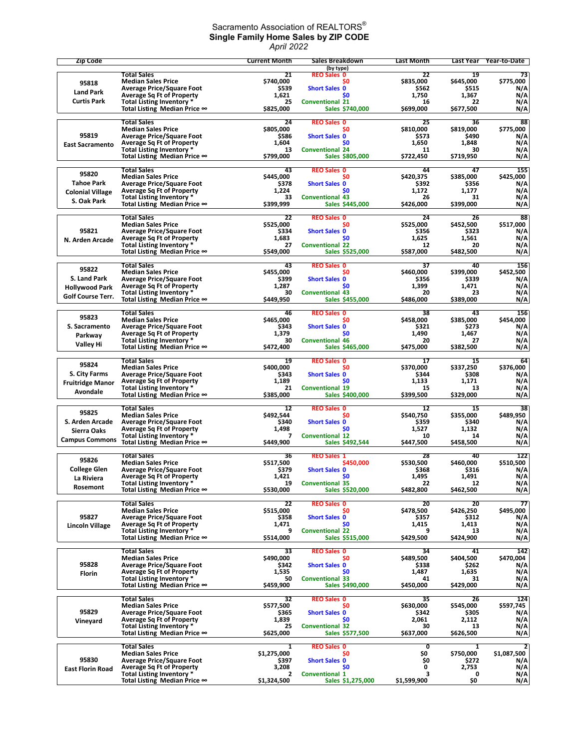## Sacramento Association of REALTORS $^\circ$ **Single Family Home Sales by ZIP CODE** *April 2022*

| Zip Code                |                                                                  | <b>Current Month</b>          | Sales Breakdown                            | <b>Last Month</b>            | Last Year          | Year-to-Date       |
|-------------------------|------------------------------------------------------------------|-------------------------------|--------------------------------------------|------------------------------|--------------------|--------------------|
|                         | <b>Total Sales</b>                                               | 21                            | (by type)<br><b>REO Sales 0</b>            | 22                           | 19                 | 73                 |
| 95818                   | <b>Median Sales Price</b>                                        | \$740,000                     | S0                                         | \$835,000                    | \$645,000          | \$775,000          |
| <b>Land Park</b>        | <b>Average Price/Square Foot</b>                                 | \$539                         | <b>Short Sales 0</b>                       | \$562                        | \$515              | N/A                |
| <b>Curtis Park</b>      | <b>Average Sq Ft of Property</b><br>Total Listing Inventory *    | 1,621<br>25                   | \$O<br><b>Conventional 21</b>              | 1,750<br>16                  | 1,367<br>22        | N/A<br>N/A         |
|                         | Total Listing Median Price ∞                                     | \$825,000                     | Sales \$740,000                            | \$699,000                    | \$677,500          | N/A                |
|                         | <b>Total Sales</b>                                               | 24                            | <b>REO Sales 0</b>                         | 25                           | 36                 | 88                 |
|                         | <b>Median Sales Price</b>                                        | \$805,000                     | \$0                                        | \$810,000                    | \$819,000          | \$775,000          |
| 95819                   | <b>Average Price/Square Foot</b>                                 | \$586                         | <b>Short Sales 0</b>                       | \$573                        | \$490              | N/A                |
| <b>East Sacramento</b>  | <b>Average Sq Ft of Property</b><br>Total Listing Inventory *    | 1,604<br>13                   | S <sub>0</sub><br><b>Conventional 24</b>   | 1,650<br>11                  | 1,848<br>30        | N/A<br>N/A         |
|                         | Total Listing Median Price ∞                                     | \$799,000                     | Sales \$805,000                            | \$722,450                    | \$719,950          | N/A                |
|                         | <b>Total Sales</b>                                               | 43                            | <b>REO Sales 0</b>                         | 44                           | 47                 | 155                |
| 95820                   | <b>Median Sales Price</b>                                        | \$445,000                     | SO.                                        | \$420,375                    | \$385,000          | \$425,000          |
| <b>Tahoe Park</b>       | <b>Average Price/Square Foot</b>                                 | \$378                         | <b>Short Sales 0</b>                       | \$392                        | \$356              | N/A                |
| <b>Colonial Village</b> | <b>Average Sq Ft of Property</b><br>Total Listing Inventory *    | 1,224<br>33                   | \$O<br><b>Conventional 43</b>              | 1,172<br>26                  | 1,177<br>31        | N/A<br>N/A         |
| S. Oak Park             | Total Listing Median Price ∞                                     | \$399,999                     | Sales \$445,000                            | \$426,000                    | \$399,000          | N/A                |
|                         | <b>Total Sales</b>                                               | 22                            | <b>REO Sales 0</b>                         | 24                           | 26                 | 88                 |
|                         | <b>Median Sales Price</b>                                        | \$525,000                     | \$0                                        | \$525,000                    | \$452,500          | \$517,000          |
| 95821                   | <b>Average Price/Square Foot</b>                                 | \$334                         | <b>Short Sales 0</b>                       | \$356                        | \$323              | N/A                |
| N. Arden Arcade         | <b>Average Sq Ft of Property</b><br>Total Listing Inventory *    | 1,683<br>27                   | \$0<br><b>Conventional 22</b>              | 1,625<br>12                  | 1,561<br>20        | N/A<br>N/A         |
|                         | Total Listing Median Price $\infty$                              | \$549,000                     | Sales \$525,000                            | \$587,000                    | \$482,500          | N/A                |
|                         | <b>Total Sales</b>                                               |                               | <b>REO Sales 0</b>                         | $\overline{37}$              |                    |                    |
| 95822                   | <b>Median Sales Price</b>                                        | 43<br>\$455,000               | \$0                                        | \$460,000                    | 40<br>\$399,000    | 156<br>\$452,500   |
| S. Land Park            | <b>Average Price/Square Foot</b>                                 | \$399                         | <b>Short Sales 0</b>                       | \$356                        | \$339              | N/A                |
| <b>Hollywood Park</b>   | <b>Average Sq Ft of Property</b><br>Total Listing Inventory *    | 1,287<br>30                   | S <sub>0</sub><br><b>Conventional 43</b>   | 1,399<br>20                  | 1,471<br>23        | N/A<br>N/A         |
| Golf Course Terr.       | Total Listing Median Price ∞                                     | \$449,950                     | Sales \$455,000                            | \$486,000                    | \$389,000          | N/A                |
|                         |                                                                  |                               |                                            |                              |                    |                    |
| 95823                   | <b>Total Sales</b><br><b>Median Sales Price</b>                  | 46<br>\$465,000               | <b>REO Sales 0</b><br>S0                   | 38<br>\$458,000              | 43<br>\$385,000    | 156<br>\$454,000   |
| S. Sacramento           | <b>Average Price/Square Foot</b>                                 | \$343                         | <b>Short Sales 0</b>                       | \$321                        | \$273              | N/A                |
| Parkway                 | <b>Average Sq Ft of Property</b>                                 | 1,379<br>30                   | \$0                                        | 1,490                        | 1,467<br>27        | N/A                |
| <b>Valley Hi</b>        | Total Listing Inventory *<br>Total Listing Median Price ∞        | \$472,400                     | <b>Conventional 46</b><br>Sales \$465,000  | 20<br>\$475,000              | \$382,500          | N/A<br>N/A         |
|                         |                                                                  |                               |                                            |                              |                    |                    |
| 95824                   | <b>Total Sales</b><br><b>Median Sales Price</b>                  | 19<br>\$400,000               | <b>REO Sales 0</b><br>\$0                  | 17<br>\$370,000              | 15<br>\$337,250    | 64<br>\$376,000    |
| S. City Farms           | <b>Average Price/Square Foot</b>                                 | \$343                         | <b>Short Sales 0</b>                       | \$344                        | \$308              | N/A                |
| <b>Fruitridge Manor</b> | <b>Average Sq Ft of Property</b>                                 | 1,189                         | S <sub>0</sub>                             | 1,133                        | 1,171              | N/A                |
| Avondale                | Total Listing Inventory *<br>Total Listing Median Price ∞        | 21<br>\$385,000               | <b>Conventional 19</b><br>Sales \$400,000  | 15<br>\$399,500              | 13<br>\$329,000    | N/A<br>N/A         |
|                         |                                                                  |                               |                                            |                              |                    |                    |
| 95825                   | <b>Total Sales</b><br><b>Median Sales Price</b>                  | 12<br>\$492,544               | <b>REO Sales 0</b><br>SO.                  | 12<br>\$540,750              | 15<br>\$355,000    | 38<br>\$489,950    |
| S. Arden Arcade         | <b>Average Price/Square Foot</b>                                 | \$340                         | <b>Short Sales 0</b>                       | \$359                        | \$340              | N/A                |
| Sierra Oaks             | <b>Average Sq Ft of Property</b>                                 | 1.498                         | \$0                                        | 1,527                        | 1,132              | N/A                |
| <b>Campus Commons</b>   | Total Listing Inventory *<br>Total Listing Median Price ∞        | 7<br>\$449,900                | <b>Conventional 12</b><br>Sales \$492,544  | 10<br>\$447,500              | 14<br>\$458,500    | N/A<br>N/A         |
|                         |                                                                  |                               |                                            |                              |                    |                    |
| 95826                   | <b>Total Sales</b><br><b>Median Sales Price</b>                  | 36<br>\$517,500               | <b>REO Sales 1</b><br>\$450,000            | 28<br>\$530,500              | 40<br>\$460,000    | 122<br>\$510,500   |
| <b>College Glen</b>     | <b>Average Price/Square Foot</b>                                 | \$379                         | <b>Short Sales 0</b>                       | \$368                        | \$316              | N/A                |
| La Riviera              | <b>Average Sq Ft of Property</b>                                 | 1,421                         | \$0                                        | 1,495                        | 1,491              | N/A                |
| Rosemont                | Total Listing Inventory *<br>Total Listing Median Price ∞        | 19<br>\$530,000               | <b>Conventional 35</b><br>Sales \$520,000  | 22<br>\$482,800              | 12<br>\$462,500    | N/A<br>N/A         |
|                         |                                                                  |                               |                                            |                              |                    |                    |
|                         | <b>Total Sales</b><br><b>Median Sales Price</b>                  | 22                            | <b>REO Sales 0</b>                         | $\overline{20}$<br>\$478.500 | 20                 | 77                 |
| 95827                   | <b>Average Price/Square Foot</b>                                 | \$515,000<br>\$358            | \$0<br><b>Short Sales 0</b>                | \$357                        | \$426,250<br>\$312 | \$495,000<br>N/A   |
| Lincoln Village         | <b>Average Sq Ft of Property</b>                                 | 1,471                         | <b>SO</b>                                  | 1,415                        | 1,413              | N/A                |
|                         | Total Listing Inventory *<br>Total Listing Median Price ∞        | 9<br>\$514,000                | <b>Conventional 22</b><br>Sales \$515,000  | 9<br>\$429,500               | 13<br>\$424,900    | N/A<br>N/A         |
|                         |                                                                  |                               |                                            |                              |                    |                    |
|                         | <b>Total Sales</b><br><b>Median Sales Price</b>                  | 33<br>\$490,000               | <b>REO Sales 0</b>                         | 34<br>\$489,500              | 41<br>\$404,500    | 142<br>\$470,004   |
| 95828                   | <b>Average Price/Square Foot</b>                                 | \$342                         | S0<br><b>Short Sales 0</b>                 | \$338                        | \$262              | N/A                |
| Florin                  | <b>Average Sq Ft of Property</b>                                 | 1,535                         | \$O                                        | 1,487                        | 1,635              | N/A                |
|                         | Total Listing Inventory *<br>Total Listing Median Price ∞        | 50<br>\$459,900               | <b>Conventional 33</b><br>Sales \$490,000  | 41<br>\$450,000              | 31<br>\$429,000    | N/A<br>N/A         |
|                         |                                                                  |                               |                                            |                              |                    |                    |
|                         | <b>Total Sales</b><br><b>Median Sales Price</b>                  | 32                            | <b>REO Sales 0</b><br>\$0                  | 35                           | 26                 | 124                |
| 95829                   | <b>Average Price/Square Foot</b>                                 | \$577,500<br>\$365            | <b>Short Sales 0</b>                       | \$630,000<br>\$342           | \$545,000<br>\$305 | \$597,745<br>N/A   |
| Vineyard                | <b>Average Sq Ft of Property</b>                                 | 1,839                         | \$0                                        | 2,061                        | 2,112              | N/A                |
|                         | Total Listing Inventory *<br>Total Listing Median Price ∞        | 25<br>\$625,000               | <b>Conventional 32</b><br>Sales \$577,500  | 30<br>\$637,000              | 13<br>\$626,500    | N/A<br>N/A         |
|                         |                                                                  |                               |                                            |                              |                    |                    |
|                         | <b>Total Sales</b><br><b>Median Sales Price</b>                  | 1                             | <b>REO Sales 0</b>                         | 0                            | $\mathbf{1}$       | $\overline{2}$     |
| 95830                   | <b>Average Price/Square Foot</b>                                 | \$1,275,000<br>\$397          | Ş0<br><b>Short Sales 0</b>                 | Ş0<br>\$0                    | \$750,000<br>\$272 | \$1,087,500<br>N/A |
| <b>East Florin Road</b> | <b>Average Sq Ft of Property</b>                                 | 3,208                         | \$O                                        | 0                            | 2,753              | N/A                |
|                         | <b>Total Listing Inventory *</b><br>Total Listing Median Price ∞ | $\overline{2}$<br>\$1,324,500 | <b>Conventional 1</b><br>Sales \$1,275,000 | 3<br>\$1,599,900             | 0<br>\$0           | N/A<br>N/A         |
|                         |                                                                  |                               |                                            |                              |                    |                    |